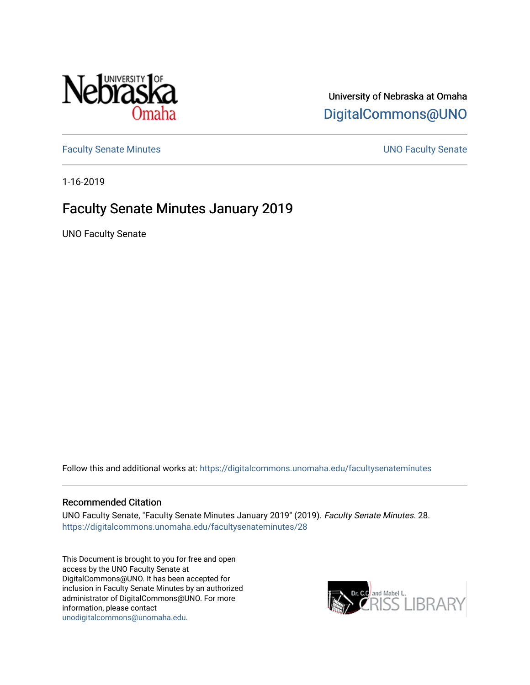

## University of Nebraska at Omaha [DigitalCommons@UNO](https://digitalcommons.unomaha.edu/)

[Faculty Senate Minutes](https://digitalcommons.unomaha.edu/facultysenateminutes) **Example 2018** UNO Faculty Senate

1-16-2019

## Faculty Senate Minutes January 2019

UNO Faculty Senate

Follow this and additional works at: [https://digitalcommons.unomaha.edu/facultysenateminutes](https://digitalcommons.unomaha.edu/facultysenateminutes?utm_source=digitalcommons.unomaha.edu%2Ffacultysenateminutes%2F28&utm_medium=PDF&utm_campaign=PDFCoverPages) 

#### Recommended Citation

UNO Faculty Senate, "Faculty Senate Minutes January 2019" (2019). Faculty Senate Minutes. 28. [https://digitalcommons.unomaha.edu/facultysenateminutes/28](https://digitalcommons.unomaha.edu/facultysenateminutes/28?utm_source=digitalcommons.unomaha.edu%2Ffacultysenateminutes%2F28&utm_medium=PDF&utm_campaign=PDFCoverPages) 

This Document is brought to you for free and open access by the UNO Faculty Senate at DigitalCommons@UNO. It has been accepted for inclusion in Faculty Senate Minutes by an authorized administrator of DigitalCommons@UNO. For more information, please contact [unodigitalcommons@unomaha.edu.](mailto:unodigitalcommons@unomaha.edu)

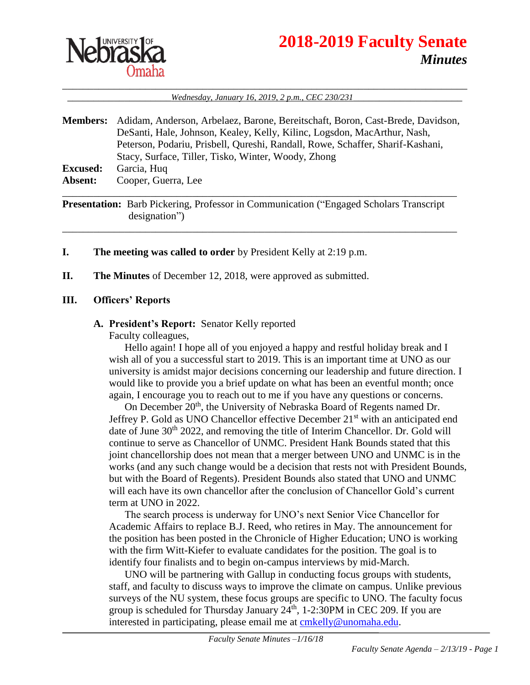

# **2018-2019 Faculty Senate** *Minutes*

\_\_\_\_\_\_\_\_\_\_\_\_\_\_\_\_\_\_\_\_\_\_\_\_\_\_\_\_\_\_\_\_\_\_\_\_\_\_\_\_\_\_\_\_\_\_\_\_\_\_\_\_\_\_\_\_\_\_\_\_\_\_\_\_\_\_\_\_\_\_\_\_\_\_\_\_\_\_ \_\_\_\_\_\_\_\_\_\_\_\_\_\_\_\_\_\_\_\_*Wednesday, January 16, 2019, 2 p.m., CEC 230/231*\_\_\_\_\_\_\_\_\_\_\_\_\_\_\_\_\_\_\_\_\_

| <b>Members:</b> | Adidam, Anderson, Arbelaez, Barone, Bereitschaft, Boron, Cast-Brede, Davidson, |
|-----------------|--------------------------------------------------------------------------------|
|                 | DeSanti, Hale, Johnson, Kealey, Kelly, Kilinc, Logsdon, MacArthur, Nash,       |
|                 | Peterson, Podariu, Prisbell, Qureshi, Randall, Rowe, Schaffer, Sharif-Kashani, |
|                 | Stacy, Surface, Tiller, Tisko, Winter, Woody, Zhong                            |
| <b>Excused:</b> | Garcia, Huq                                                                    |
| Absent:         | Cooper, Guerra, Lee                                                            |
|                 |                                                                                |

**Presentation:** Barb Pickering, Professor in Communication ("Engaged Scholars Transcript designation")

\_\_\_\_\_\_\_\_\_\_\_\_\_\_\_\_\_\_\_\_\_\_\_\_\_\_\_\_\_\_\_\_\_\_\_\_\_\_\_\_\_\_\_\_\_\_\_\_\_\_\_\_\_\_\_\_\_\_\_\_\_\_\_\_\_\_\_\_\_\_\_\_\_\_\_\_

#### **I. The meeting was called to order** by President Kelly at 2:19 p.m.

**II. The Minutes** of December 12, 2018, were approved as submitted.

#### **III. Officers' Reports**

#### **A. President's Report:** Senator Kelly reported

Faculty colleagues,

Hello again! I hope all of you enjoyed a happy and restful holiday break and I wish all of you a successful start to 2019. This is an important time at UNO as our university is amidst major decisions concerning our leadership and future direction. I would like to provide you a brief update on what has been an eventful month; once again, I encourage you to reach out to me if you have any questions or concerns.

On December 20<sup>th</sup>, the University of Nebraska Board of Regents named Dr. Jeffrey P. Gold as UNO Chancellor effective December  $21<sup>st</sup>$  with an anticipated end date of June 30<sup>th</sup> 2022, and removing the title of Interim Chancellor. Dr. Gold will continue to serve as Chancellor of UNMC. President Hank Bounds stated that this joint chancellorship does not mean that a merger between UNO and UNMC is in the works (and any such change would be a decision that rests not with President Bounds, but with the Board of Regents). President Bounds also stated that UNO and UNMC will each have its own chancellor after the conclusion of Chancellor Gold's current term at UNO in 2022.

The search process is underway for UNO's next Senior Vice Chancellor for Academic Affairs to replace B.J. Reed, who retires in May. The announcement for the position has been posted in the Chronicle of Higher Education; UNO is working with the firm Witt-Kiefer to evaluate candidates for the position. The goal is to identify four finalists and to begin on-campus interviews by mid-March.

UNO will be partnering with Gallup in conducting focus groups with students, staff, and faculty to discuss ways to improve the climate on campus. Unlike previous surveys of the NU system, these focus groups are specific to UNO. The faculty focus group is scheduled for Thursday January  $24<sup>th</sup>$ , 1-2:30PM in CEC 209. If you are interested in participating, please email me at [cmkelly@unomaha.edu.](mailto:cmkelly@unomaha.edu)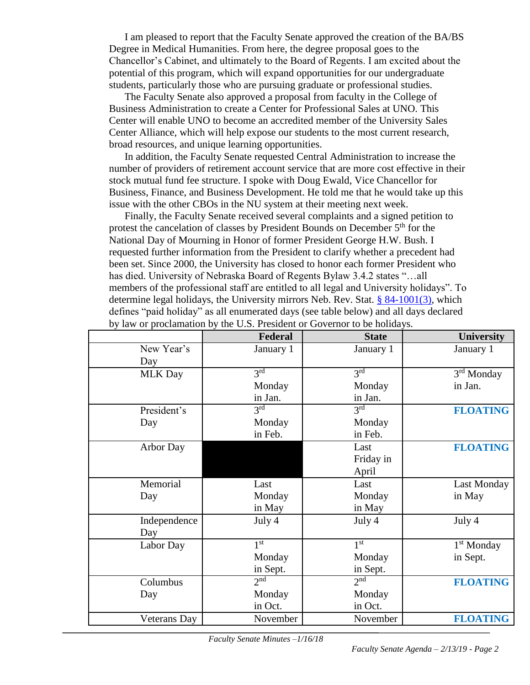I am pleased to report that the Faculty Senate approved the creation of the BA/BS Degree in Medical Humanities. From here, the degree proposal goes to the Chancellor's Cabinet, and ultimately to the Board of Regents. I am excited about the potential of this program, which will expand opportunities for our undergraduate students, particularly those who are pursuing graduate or professional studies.

The Faculty Senate also approved a proposal from faculty in the College of Business Administration to create a Center for Professional Sales at UNO. This Center will enable UNO to become an accredited member of the University Sales Center Alliance, which will help expose our students to the most current research, broad resources, and unique learning opportunities.

In addition, the Faculty Senate requested Central Administration to increase the number of providers of retirement account service that are more cost effective in their stock mutual fund fee structure. I spoke with Doug Ewald, Vice Chancellor for Business, Finance, and Business Development. He told me that he would take up this issue with the other CBOs in the NU system at their meeting next week.

Finally, the Faculty Senate received several complaints and a signed petition to protest the cancelation of classes by President Bounds on December 5<sup>th</sup> for the National Day of Mourning in Honor of former President George H.W. Bush. I requested further information from the President to clarify whether a precedent had been set. Since 2000, the University has closed to honor each former President who has died. University of Nebraska Board of Regents Bylaw 3.4.2 states "…all members of the professional staff are entitled to all legal and University holidays". To determine legal holidays, the University mirrors Neb. Rev. Stat. [§ 84-1001\(3\),](https://urldefense.proofpoint.com/v2/url?u=https-3A__nebraskalegislature.gov_laws_statutes.php-3Fstatute-3D84-2D1001&d=DwMGaQ&c=Cu5g146wZdoqVuKpTNsYHeFX_rg6kWhlkLF8Eft-wwo&r=ky638c7LFL66U2uZvsYq3PIPZ3uKL3T0XrO9KtZPgr4&m=qqgCy9yPjx5Llscn_2G_m1LuJJgmEENGcXSMnzhFPew&s=9PofNF8RQNszW3mXeVM6rRT2gneolKsK6OFFMvN09J8&e=) which defines "paid holiday" as all enumerated days (see table below) and all days declared by law or proclamation by the U.S. President or Governor to be holidays.

| Federal         | <b>State</b>                                          | <b>University</b>                                     |
|-----------------|-------------------------------------------------------|-------------------------------------------------------|
| January 1       | January 1                                             | January 1                                             |
|                 |                                                       |                                                       |
| 3 <sup>rd</sup> | 3rd                                                   | 3 <sup>rd</sup> Monday                                |
| Monday          | Monday                                                | in Jan.                                               |
| in Jan.         | in Jan.                                               |                                                       |
|                 |                                                       | <b>FLOATING</b>                                       |
| Monday          | Monday                                                |                                                       |
| in Feb.         | in Feb.                                               |                                                       |
|                 | Last                                                  | <b>FLOATING</b>                                       |
|                 | Friday in                                             |                                                       |
|                 | April                                                 |                                                       |
| Last            | Last                                                  | Last Monday                                           |
| Monday          | Monday                                                | in May                                                |
| in May          | in May                                                |                                                       |
| July 4          | July 4                                                | July 4                                                |
|                 |                                                       |                                                       |
|                 |                                                       | $1st$ Monday                                          |
| Monday          | Monday                                                | in Sept.                                              |
| in Sept.        | in Sept.                                              |                                                       |
|                 |                                                       | <b>FLOATING</b>                                       |
| Monday          | Monday                                                |                                                       |
| in Oct.         | in Oct.                                               |                                                       |
| November        | November                                              | <b>FLOATING</b>                                       |
|                 | 3 <sup>rd</sup><br>1 <sup>st</sup><br>2 <sup>nd</sup> | 3 <sup>rd</sup><br>1 <sup>st</sup><br>2 <sup>nd</sup> |

*Faculty Senate Minutes –1/16/18*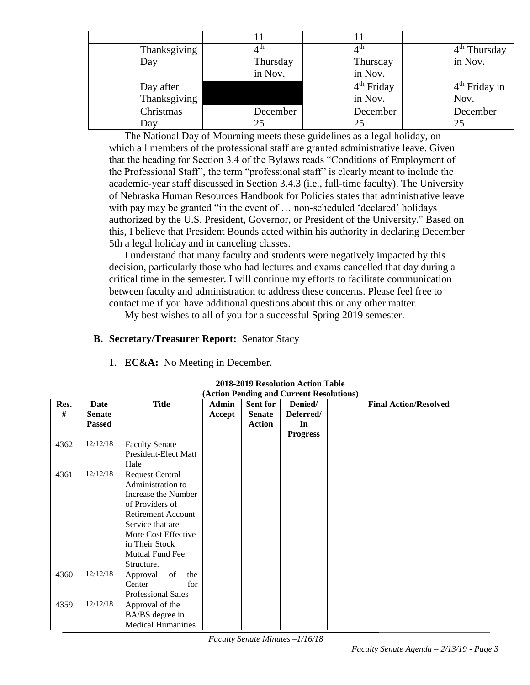| Thanksgiving | $4^{\rm th}$ | $4^{\rm th}$ | $\overline{4}^{\text{th}}$ Thursday |
|--------------|--------------|--------------|-------------------------------------|
| Day          | Thursday     | Thursday     | in Nov.                             |
|              | in Nov.      | in Nov.      |                                     |
| Day after    |              | $4th$ Friday | $4th$ Friday in                     |
| Thanksgiving |              | in Nov.      | Nov.                                |
| Christmas    | December     | December     | December                            |
| Day          | 25           |              |                                     |

The National Day of Mourning meets these guidelines as a legal holiday, on which all members of the professional staff are granted administrative leave. Given that the heading for Section 3.4 of the Bylaws reads "Conditions of Employment of the Professional Staff", the term "professional staff" is clearly meant to include the academic-year staff discussed in Section 3.4.3 (i.e., full-time faculty). The University of Nebraska Human Resources Handbook for Policies states that administrative leave with pay may be granted "in the event of ... non-scheduled 'declared' holidays authorized by the U.S. President, Governor, or President of the University." Based on this, I believe that President Bounds acted within his authority in declaring December 5th a legal holiday and in canceling classes.

I understand that many faculty and students were negatively impacted by this decision, particularly those who had lectures and exams cancelled that day during a critical time in the semester. I will continue my efforts to facilitate communication between faculty and administration to address these concerns. Please feel free to contact me if you have additional questions about this or any other matter.

My best wishes to all of you for a successful Spring 2019 semester.

#### **B. Secretary/Treasurer Report:** Senator Stacy

1. **EC&A:** No Meeting in December.

| (Action Pending and Current Resolutions) |                                        |                                                                                                                                                                                                                  |                 |                                                   |                                               |                              |
|------------------------------------------|----------------------------------------|------------------------------------------------------------------------------------------------------------------------------------------------------------------------------------------------------------------|-----------------|---------------------------------------------------|-----------------------------------------------|------------------------------|
| Res.<br>#                                | Date<br><b>Senate</b><br><b>Passed</b> | <b>Title</b>                                                                                                                                                                                                     | Admin<br>Accept | <b>Sent for</b><br><b>Senate</b><br><b>Action</b> | Denied/<br>Deferred/<br>In<br><b>Progress</b> | <b>Final Action/Resolved</b> |
| 4362                                     | 12/12/18                               | <b>Faculty Senate</b><br>President-Elect Matt<br>Hale                                                                                                                                                            |                 |                                                   |                                               |                              |
| 4361                                     | 12/12/18                               | <b>Request Central</b><br>Administration to<br>Increase the Number<br>of Providers of<br><b>Retirement Account</b><br>Service that are<br>More Cost Effective<br>in Their Stock<br>Mutual Fund Fee<br>Structure. |                 |                                                   |                                               |                              |
| 4360                                     | 12/12/18                               | of<br>the<br>Approval<br>for<br>Center<br><b>Professional Sales</b>                                                                                                                                              |                 |                                                   |                                               |                              |
| 4359                                     | 12/12/18                               | Approval of the<br>BA/BS degree in<br><b>Medical Humanities</b>                                                                                                                                                  |                 |                                                   |                                               |                              |

**2018-2019 Resolution Action Table**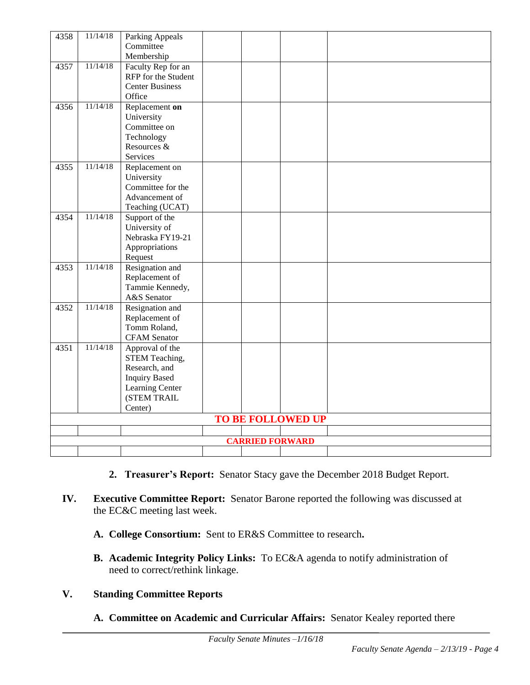| 4358                     | 11/14/18 | Parking Appeals        |  |  |  |
|--------------------------|----------|------------------------|--|--|--|
|                          |          | Committee              |  |  |  |
|                          |          | Membership             |  |  |  |
| 4357                     | 11/14/18 | Faculty Rep for an     |  |  |  |
|                          |          | RFP for the Student    |  |  |  |
|                          |          | <b>Center Business</b> |  |  |  |
|                          |          | Office                 |  |  |  |
| 4356                     | 11/14/18 | Replacement on         |  |  |  |
|                          |          | University             |  |  |  |
|                          |          | Committee on           |  |  |  |
|                          |          | Technology             |  |  |  |
|                          |          | Resources &            |  |  |  |
|                          |          | Services               |  |  |  |
| 4355                     | 11/14/18 | Replacement on         |  |  |  |
|                          |          | University             |  |  |  |
|                          |          | Committee for the      |  |  |  |
|                          |          | Advancement of         |  |  |  |
|                          |          | Teaching (UCAT)        |  |  |  |
| 4354                     | 11/14/18 | Support of the         |  |  |  |
|                          |          | University of          |  |  |  |
|                          |          | Nebraska FY19-21       |  |  |  |
|                          |          | Appropriations         |  |  |  |
|                          |          | Request                |  |  |  |
| 4353                     | 11/14/18 | Resignation and        |  |  |  |
|                          |          | Replacement of         |  |  |  |
|                          |          | Tammie Kennedy,        |  |  |  |
|                          |          | A&S Senator            |  |  |  |
| 4352                     | 11/14/18 | Resignation and        |  |  |  |
|                          |          | Replacement of         |  |  |  |
|                          |          | Tomm Roland,           |  |  |  |
|                          |          | <b>CFAM</b> Senator    |  |  |  |
| 4351                     | 11/14/18 | Approval of the        |  |  |  |
|                          |          | STEM Teaching,         |  |  |  |
|                          |          | Research, and          |  |  |  |
|                          |          | <b>Inquiry Based</b>   |  |  |  |
|                          |          | Learning Center        |  |  |  |
|                          |          | (STEM TRAIL            |  |  |  |
|                          |          | Center)                |  |  |  |
| <b>TO BE FOLLOWED UP</b> |          |                        |  |  |  |
|                          |          |                        |  |  |  |
| <b>CARRIED FORWARD</b>   |          |                        |  |  |  |
|                          |          |                        |  |  |  |

- **2. Treasurer's Report:** Senator Stacy gave the December 2018 Budget Report.
- **IV. Executive Committee Report:** Senator Barone reported the following was discussed at the EC&C meeting last week.
	- **A. College Consortium:** Sent to ER&S Committee to research**.**
	- **B. Academic Integrity Policy Links:** To EC&A agenda to notify administration of need to correct/rethink linkage.

#### **V. Standing Committee Reports**

**A. Committee on Academic and Curricular Affairs:** Senator Kealey reported there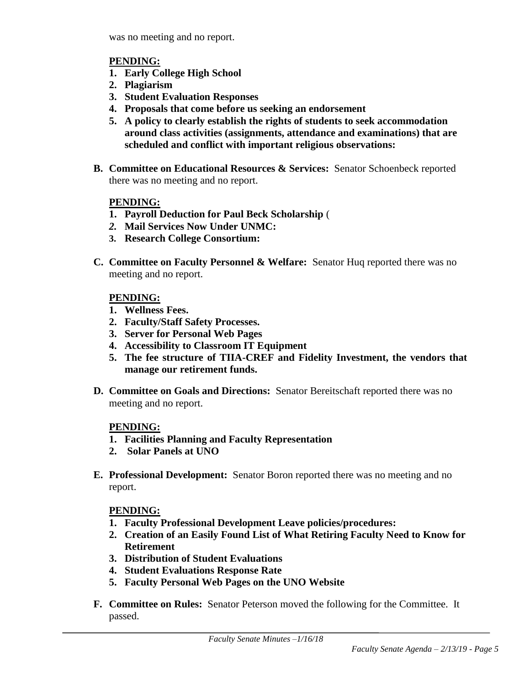was no meeting and no report.

#### **PENDING:**

- **1. Early College High School**
- **2. Plagiarism**
- **3. Student Evaluation Responses**
- **4. Proposals that come before us seeking an endorsement**
- **5. A policy to clearly establish the rights of students to seek accommodation around class activities (assignments, attendance and examinations) that are scheduled and conflict with important religious observations:**
- **B. Committee on Educational Resources & Services:** Senator Schoenbeck reported there was no meeting and no report.

#### **PENDING:**

- **1. Payroll Deduction for Paul Beck Scholarship** (
- *2.* **Mail Services Now Under UNMC:**
- **3. Research College Consortium:**
- **C. Committee on Faculty Personnel & Welfare:** Senator Huq reported there was no meeting and no report.

#### **PENDING:**

- **1. Wellness Fees.**
- **2. Faculty/Staff Safety Processes.**
- **3. Server for Personal Web Pages**
- **4. Accessibility to Classroom IT Equipment**
- **5. The fee structure of TIIA-CREF and Fidelity Investment, the vendors that manage our retirement funds.**
- **D. Committee on Goals and Directions:** Senator Bereitschaft reported there was no meeting and no report.

#### **PENDING:**

- **1. Facilities Planning and Faculty Representation**
- **2. Solar Panels at UNO**
- **E. Professional Development:** Senator Boron reported there was no meeting and no report.

#### **PENDING:**

- **1. Faculty Professional Development Leave policies/procedures:**
- **2. Creation of an Easily Found List of What Retiring Faculty Need to Know for Retirement**
- **3. Distribution of Student Evaluations**
- **4. Student Evaluations Response Rate**
- **5. Faculty Personal Web Pages on the UNO Website**
- **F. Committee on Rules:** Senator Peterson moved the following for the Committee. It passed.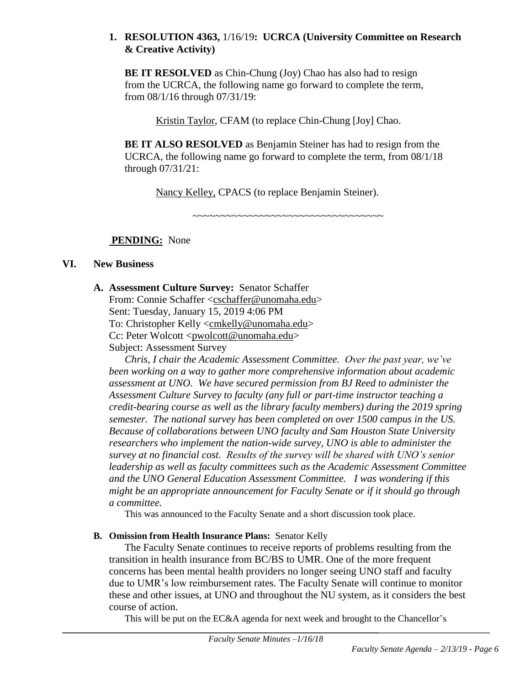#### **1. RESOLUTION 4363,** 1/16/19**: UCRCA (University Committee on Research & Creative Activity)**

**BE IT RESOLVED** as Chin-Chung (Joy) Chao has also had to resign from the UCRCA, the following name go forward to complete the term, from 08/1/16 through 07/31/19:

Kristin Taylor, CFAM (to replace Chin-Chung [Joy] Chao.

**BE IT ALSO RESOLVED** as Benjamin Steiner has had to resign from the UCRCA, the following name go forward to complete the term, from 08/1/18 through 07/31/21:

Nancy Kelley, CPACS (to replace Benjamin Steiner).

 $~\cdot$ 

**PENDING:** None

#### **VI. New Business**

#### **A. Assessment Culture Survey:** Senator Schaffer

From: Connie Schaffer [<cschaffer@unomaha.edu>](mailto:cschaffer@unomaha.edu) Sent: Tuesday, January 15, 2019 4:06 PM To: Christopher Kelly [<cmkelly@unomaha.edu>](mailto:cmkelly@unomaha.edu) Cc: Peter Wolcott [<pwolcott@unomaha.edu>](mailto:pwolcott@unomaha.edu) Subject: Assessment Survey

*Chris, I chair the Academic Assessment Committee. Over the past year, we've been working on a way to gather more comprehensive information about academic assessment at UNO. We have secured permission from BJ Reed to administer the Assessment Culture Survey to faculty (any full or part-time instructor teaching a credit-bearing course as well as the library faculty members) during the 2019 spring semester. The national survey has been completed on over 1500 campus in the US. Because of collaborations between UNO faculty and Sam Houston State University researchers who implement the nation-wide survey, UNO is able to administer the survey at no financial cost. Results of the survey will be shared with UNO's senior leadership as well as faculty committees such as the Academic Assessment Committee and the UNO General Education Assessment Committee. I was wondering if this might be an appropriate announcement for Faculty Senate or if it should go through a committee.*

This was announced to the Faculty Senate and a short discussion took place.

#### **B. Omission from Health Insurance Plans:** Senator Kelly

The Faculty Senate continues to receive reports of problems resulting from the transition in health insurance from BC/BS to UMR. One of the more frequent concerns has been mental health providers no longer seeing UNO staff and faculty due to UMR's low reimbursement rates. The Faculty Senate will continue to monitor these and other issues, at UNO and throughout the NU system, as it considers the best course of action.

This will be put on the EC&A agenda for next week and brought to the Chancellor's